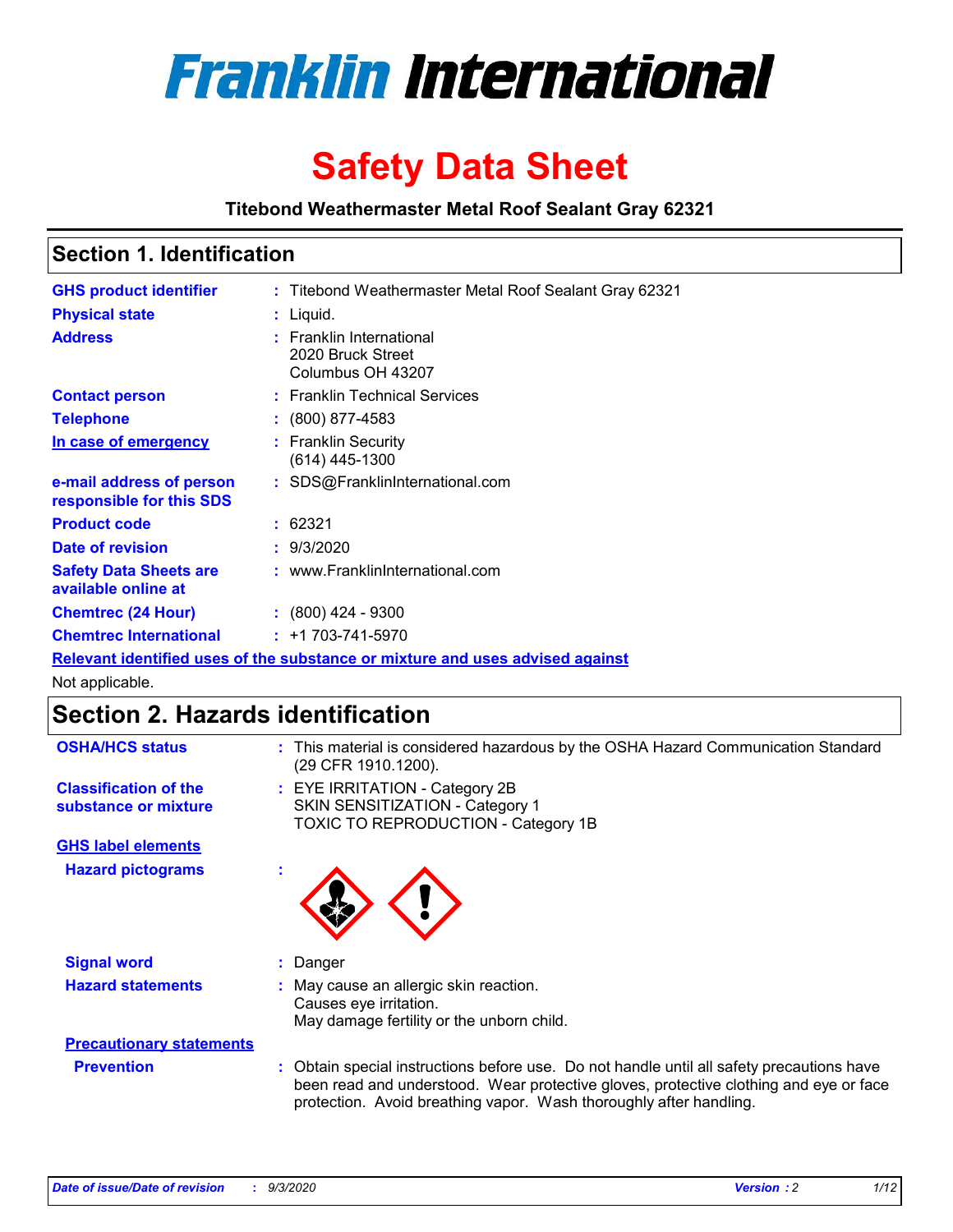

# **Safety Data Sheet**

**Titebond Weathermaster Metal Roof Sealant Gray 62321**

### **Section 1. Identification**

| <b>GHS product identifier</b>                                                 |  | : Titebond Weathermaster Metal Roof Sealant Gray 62321             |  |  |
|-------------------------------------------------------------------------------|--|--------------------------------------------------------------------|--|--|
| <b>Physical state</b>                                                         |  | : Liquid.                                                          |  |  |
| <b>Address</b>                                                                |  | : Franklin International<br>2020 Bruck Street<br>Columbus OH 43207 |  |  |
| <b>Contact person</b>                                                         |  | : Franklin Technical Services                                      |  |  |
| <b>Telephone</b>                                                              |  | $: (800) 877-4583$                                                 |  |  |
| In case of emergency                                                          |  | : Franklin Security<br>(614) 445-1300                              |  |  |
| e-mail address of person<br>responsible for this SDS                          |  | : SDS@FranklinInternational.com                                    |  |  |
| <b>Product code</b>                                                           |  | : 62321                                                            |  |  |
| Date of revision                                                              |  | : 9/3/2020                                                         |  |  |
| <b>Safety Data Sheets are</b><br>available online at                          |  | : www.FranklinInternational.com                                    |  |  |
| <b>Chemtrec (24 Hour)</b>                                                     |  | $: (800)$ 424 - 9300                                               |  |  |
| <b>Chemtrec International</b>                                                 |  | $: +1703 - 741 - 5970$                                             |  |  |
| Relevant identified uses of the substance or mixture and uses advised against |  |                                                                    |  |  |

Not applicable.

# **Section 2. Hazards identification**

| <b>OSHA/HCS status</b>                               |    | : This material is considered hazardous by the OSHA Hazard Communication Standard<br>(29 CFR 1910.1200).                                                                                                                                                 |
|------------------------------------------------------|----|----------------------------------------------------------------------------------------------------------------------------------------------------------------------------------------------------------------------------------------------------------|
| <b>Classification of the</b><br>substance or mixture |    | : EYE IRRITATION - Category 2B<br>SKIN SENSITIZATION - Category 1<br>TOXIC TO REPRODUCTION - Category 1B                                                                                                                                                 |
| <b>GHS label elements</b>                            |    |                                                                                                                                                                                                                                                          |
| <b>Hazard pictograms</b>                             | ×. |                                                                                                                                                                                                                                                          |
| <b>Signal word</b>                                   | ÷. | Danger                                                                                                                                                                                                                                                   |
| <b>Hazard statements</b>                             |    | May cause an allergic skin reaction.<br>Causes eye irritation.<br>May damage fertility or the unborn child.                                                                                                                                              |
| <b>Precautionary statements</b>                      |    |                                                                                                                                                                                                                                                          |
| <b>Prevention</b>                                    |    | : Obtain special instructions before use. Do not handle until all safety precautions have<br>been read and understood. Wear protective gloves, protective clothing and eye or face<br>protection. Avoid breathing vapor. Wash thoroughly after handling. |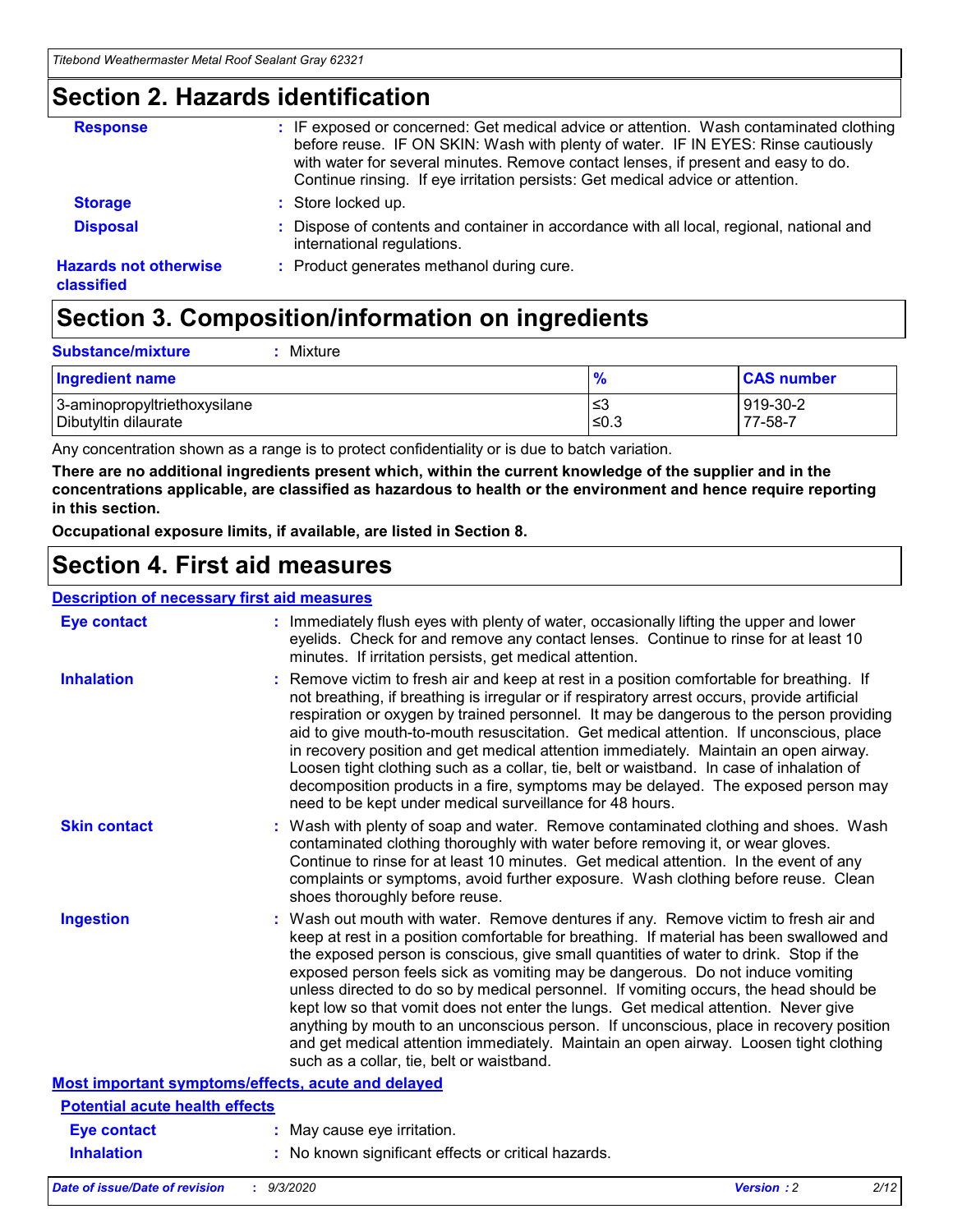### **Section 2. Hazards identification**

| <b>Response</b>                            | : IF exposed or concerned: Get medical advice or attention. Wash contaminated clothing<br>before reuse. IF ON SKIN: Wash with plenty of water. IF IN EYES: Rinse cautiously<br>with water for several minutes. Remove contact lenses, if present and easy to do.<br>Continue rinsing. If eye irritation persists: Get medical advice or attention. |
|--------------------------------------------|----------------------------------------------------------------------------------------------------------------------------------------------------------------------------------------------------------------------------------------------------------------------------------------------------------------------------------------------------|
| <b>Storage</b>                             | : Store locked up.                                                                                                                                                                                                                                                                                                                                 |
| <b>Disposal</b>                            | : Dispose of contents and container in accordance with all local, regional, national and<br>international regulations.                                                                                                                                                                                                                             |
| <b>Hazards not otherwise</b><br>classified | : Product generates methanol during cure.                                                                                                                                                                                                                                                                                                          |

# **Section 3. Composition/information on ingredients**

| <b>Substance/mixture</b> | Mixture |
|--------------------------|---------|
|                          |         |

| <b>Ingredient name</b>       | $\frac{9}{6}$ | <b>CAS number</b> |
|------------------------------|---------------|-------------------|
| 3-aminopropyltriethoxysilane | ՝≤3           | 919-30-2          |
| Dibutyltin dilaurate         | ∣≤0.3         | 77-58-7           |

Any concentration shown as a range is to protect confidentiality or is due to batch variation.

**There are no additional ingredients present which, within the current knowledge of the supplier and in the concentrations applicable, are classified as hazardous to health or the environment and hence require reporting in this section.**

**Occupational exposure limits, if available, are listed in Section 8.**

### **Section 4. First aid measures**

| <b>Description of necessary first aid measures</b> |                                                                                                                                                                                                                                                                                                                                                                                                                                                                                                                                                                                                                                                                                                                                                                           |
|----------------------------------------------------|---------------------------------------------------------------------------------------------------------------------------------------------------------------------------------------------------------------------------------------------------------------------------------------------------------------------------------------------------------------------------------------------------------------------------------------------------------------------------------------------------------------------------------------------------------------------------------------------------------------------------------------------------------------------------------------------------------------------------------------------------------------------------|
| <b>Eye contact</b>                                 | : Immediately flush eyes with plenty of water, occasionally lifting the upper and lower<br>eyelids. Check for and remove any contact lenses. Continue to rinse for at least 10<br>minutes. If irritation persists, get medical attention.                                                                                                                                                                                                                                                                                                                                                                                                                                                                                                                                 |
| <b>Inhalation</b>                                  | : Remove victim to fresh air and keep at rest in a position comfortable for breathing. If<br>not breathing, if breathing is irregular or if respiratory arrest occurs, provide artificial<br>respiration or oxygen by trained personnel. It may be dangerous to the person providing<br>aid to give mouth-to-mouth resuscitation. Get medical attention. If unconscious, place<br>in recovery position and get medical attention immediately. Maintain an open airway.<br>Loosen tight clothing such as a collar, tie, belt or waistband. In case of inhalation of<br>decomposition products in a fire, symptoms may be delayed. The exposed person may<br>need to be kept under medical surveillance for 48 hours.                                                       |
| <b>Skin contact</b>                                | : Wash with plenty of soap and water. Remove contaminated clothing and shoes. Wash<br>contaminated clothing thoroughly with water before removing it, or wear gloves.<br>Continue to rinse for at least 10 minutes. Get medical attention. In the event of any<br>complaints or symptoms, avoid further exposure. Wash clothing before reuse. Clean<br>shoes thoroughly before reuse.                                                                                                                                                                                                                                                                                                                                                                                     |
| <b>Ingestion</b>                                   | : Wash out mouth with water. Remove dentures if any. Remove victim to fresh air and<br>keep at rest in a position comfortable for breathing. If material has been swallowed and<br>the exposed person is conscious, give small quantities of water to drink. Stop if the<br>exposed person feels sick as vomiting may be dangerous. Do not induce vomiting<br>unless directed to do so by medical personnel. If vomiting occurs, the head should be<br>kept low so that vomit does not enter the lungs. Get medical attention. Never give<br>anything by mouth to an unconscious person. If unconscious, place in recovery position<br>and get medical attention immediately. Maintain an open airway. Loosen tight clothing<br>such as a collar, tie, belt or waistband. |
| Most important symptoms/effects, acute and delayed |                                                                                                                                                                                                                                                                                                                                                                                                                                                                                                                                                                                                                                                                                                                                                                           |
| <b>Potential acute health effects</b>              |                                                                                                                                                                                                                                                                                                                                                                                                                                                                                                                                                                                                                                                                                                                                                                           |
| Eye contact                                        | : May cause eye irritation.                                                                                                                                                                                                                                                                                                                                                                                                                                                                                                                                                                                                                                                                                                                                               |
| <b>Inhalation</b>                                  | : No known significant effects or critical hazards.                                                                                                                                                                                                                                                                                                                                                                                                                                                                                                                                                                                                                                                                                                                       |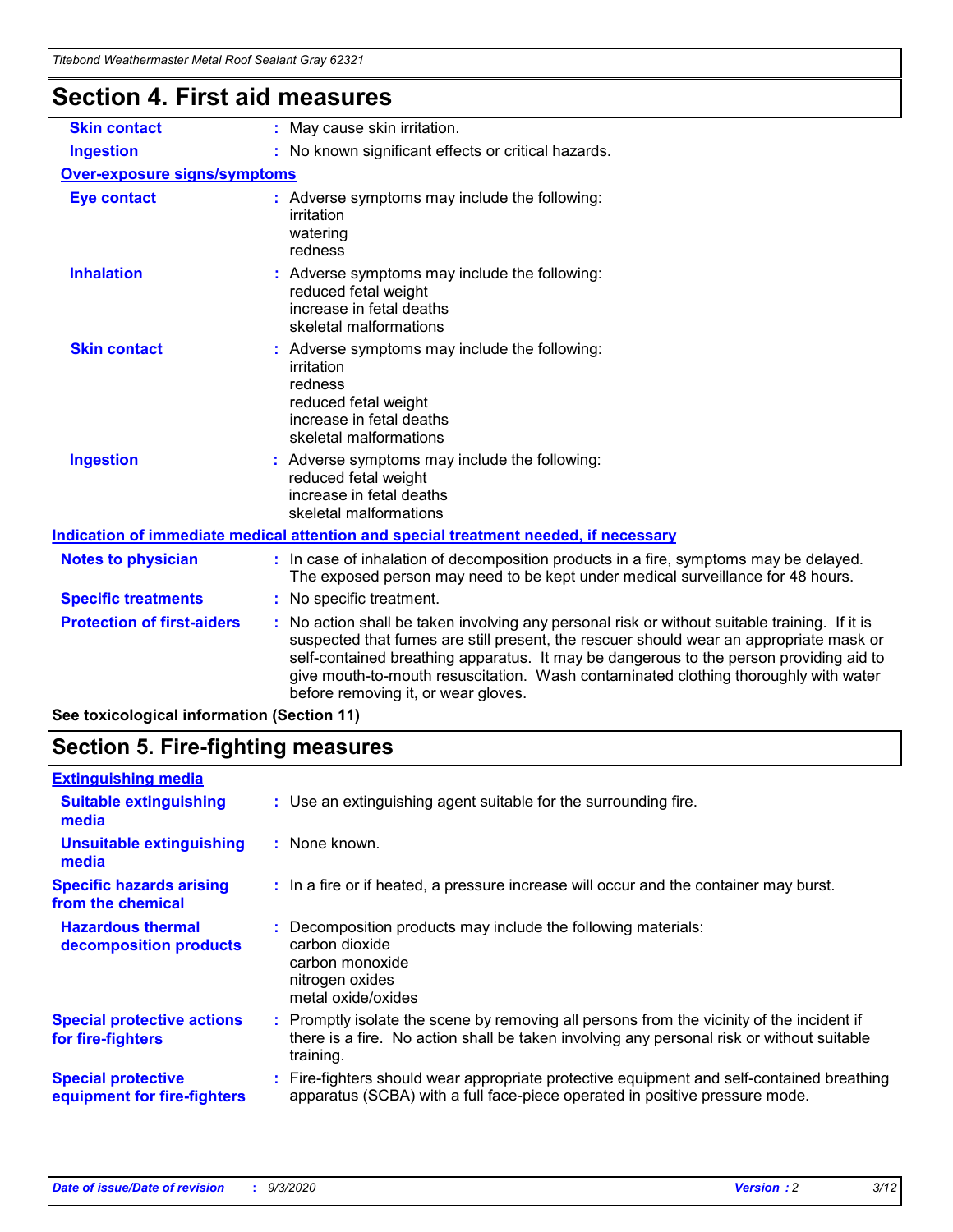| nicovna vrcanichnasici ivicial i vovi ocalahi Gray uzbz i |                                                                                                                                                                                                                                                                                                                                                                                                                 |
|-----------------------------------------------------------|-----------------------------------------------------------------------------------------------------------------------------------------------------------------------------------------------------------------------------------------------------------------------------------------------------------------------------------------------------------------------------------------------------------------|
| <b>Section 4. First aid measures</b>                      |                                                                                                                                                                                                                                                                                                                                                                                                                 |
| <b>Skin contact</b>                                       | : May cause skin irritation.                                                                                                                                                                                                                                                                                                                                                                                    |
| <b>Ingestion</b>                                          | : No known significant effects or critical hazards.                                                                                                                                                                                                                                                                                                                                                             |
| <b>Over-exposure signs/symptoms</b>                       |                                                                                                                                                                                                                                                                                                                                                                                                                 |
| <b>Eye contact</b>                                        | : Adverse symptoms may include the following:<br>irritation<br>watering<br>redness                                                                                                                                                                                                                                                                                                                              |
| <b>Inhalation</b>                                         | : Adverse symptoms may include the following:<br>reduced fetal weight<br>increase in fetal deaths<br>skeletal malformations                                                                                                                                                                                                                                                                                     |
| <b>Skin contact</b>                                       | : Adverse symptoms may include the following:<br>irritation<br>redness<br>reduced fetal weight<br>increase in fetal deaths<br>skeletal malformations                                                                                                                                                                                                                                                            |
| <b>Ingestion</b>                                          | : Adverse symptoms may include the following:<br>reduced fetal weight<br>increase in fetal deaths<br>skeletal malformations                                                                                                                                                                                                                                                                                     |
|                                                           | Indication of immediate medical attention and special treatment needed, if necessary                                                                                                                                                                                                                                                                                                                            |
| <b>Notes to physician</b>                                 | : In case of inhalation of decomposition products in a fire, symptoms may be delayed.<br>The exposed person may need to be kept under medical surveillance for 48 hours.                                                                                                                                                                                                                                        |
| <b>Specific treatments</b>                                | : No specific treatment.                                                                                                                                                                                                                                                                                                                                                                                        |
| <b>Protection of first-aiders</b>                         | : No action shall be taken involving any personal risk or without suitable training. If it is<br>suspected that fumes are still present, the rescuer should wear an appropriate mask or<br>self-contained breathing apparatus. It may be dangerous to the person providing aid to<br>give mouth-to-mouth resuscitation. Wash contaminated clothing thoroughly with water<br>before removing it, or wear gloves. |

**See toxicological information (Section 11)**

### **Section 5. Fire-fighting measures**

| <b>Extinguishing media</b>                               |                                                                                                                                                                                                     |
|----------------------------------------------------------|-----------------------------------------------------------------------------------------------------------------------------------------------------------------------------------------------------|
| <b>Suitable extinguishing</b><br>media                   | : Use an extinguishing agent suitable for the surrounding fire.                                                                                                                                     |
| <b>Unsuitable extinguishing</b><br>media                 | : None known.                                                                                                                                                                                       |
| <b>Specific hazards arising</b><br>from the chemical     | : In a fire or if heated, a pressure increase will occur and the container may burst.                                                                                                               |
| <b>Hazardous thermal</b><br>decomposition products       | Decomposition products may include the following materials:<br>carbon dioxide<br>carbon monoxide<br>nitrogen oxides<br>metal oxide/oxides                                                           |
| <b>Special protective actions</b><br>for fire-fighters   | : Promptly isolate the scene by removing all persons from the vicinity of the incident if<br>there is a fire. No action shall be taken involving any personal risk or without suitable<br>training. |
| <b>Special protective</b><br>equipment for fire-fighters | : Fire-fighters should wear appropriate protective equipment and self-contained breathing<br>apparatus (SCBA) with a full face-piece operated in positive pressure mode.                            |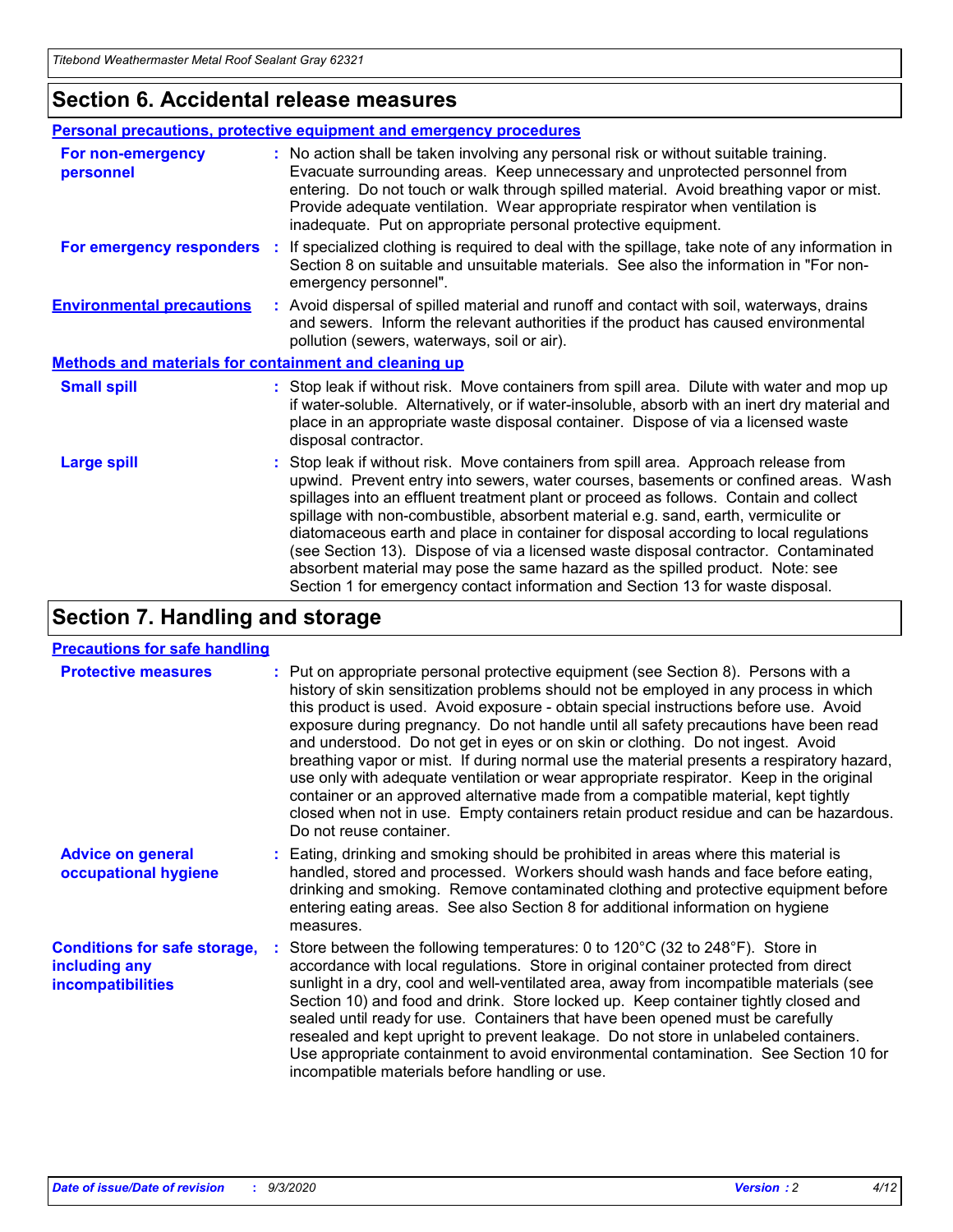### **Section 6. Accidental release measures**

|                                                              | Personal precautions, protective equipment and emergency procedures                                                                                                                                                                                                                                                                                                                                                                                                                                                                                                                                                                                                                                          |  |  |  |
|--------------------------------------------------------------|--------------------------------------------------------------------------------------------------------------------------------------------------------------------------------------------------------------------------------------------------------------------------------------------------------------------------------------------------------------------------------------------------------------------------------------------------------------------------------------------------------------------------------------------------------------------------------------------------------------------------------------------------------------------------------------------------------------|--|--|--|
| For non-emergency<br>personnel                               | : No action shall be taken involving any personal risk or without suitable training.<br>Evacuate surrounding areas. Keep unnecessary and unprotected personnel from<br>entering. Do not touch or walk through spilled material. Avoid breathing vapor or mist.<br>Provide adequate ventilation. Wear appropriate respirator when ventilation is<br>inadequate. Put on appropriate personal protective equipment.                                                                                                                                                                                                                                                                                             |  |  |  |
| For emergency responders                                     | : If specialized clothing is required to deal with the spillage, take note of any information in<br>Section 8 on suitable and unsuitable materials. See also the information in "For non-<br>emergency personnel".                                                                                                                                                                                                                                                                                                                                                                                                                                                                                           |  |  |  |
| <b>Environmental precautions</b>                             | : Avoid dispersal of spilled material and runoff and contact with soil, waterways, drains<br>and sewers. Inform the relevant authorities if the product has caused environmental<br>pollution (sewers, waterways, soil or air).                                                                                                                                                                                                                                                                                                                                                                                                                                                                              |  |  |  |
| <b>Methods and materials for containment and cleaning up</b> |                                                                                                                                                                                                                                                                                                                                                                                                                                                                                                                                                                                                                                                                                                              |  |  |  |
| <b>Small spill</b>                                           | : Stop leak if without risk. Move containers from spill area. Dilute with water and mop up<br>if water-soluble. Alternatively, or if water-insoluble, absorb with an inert dry material and<br>place in an appropriate waste disposal container. Dispose of via a licensed waste<br>disposal contractor.                                                                                                                                                                                                                                                                                                                                                                                                     |  |  |  |
| <b>Large spill</b>                                           | : Stop leak if without risk. Move containers from spill area. Approach release from<br>upwind. Prevent entry into sewers, water courses, basements or confined areas. Wash<br>spillages into an effluent treatment plant or proceed as follows. Contain and collect<br>spillage with non-combustible, absorbent material e.g. sand, earth, vermiculite or<br>diatomaceous earth and place in container for disposal according to local regulations<br>(see Section 13). Dispose of via a licensed waste disposal contractor. Contaminated<br>absorbent material may pose the same hazard as the spilled product. Note: see<br>Section 1 for emergency contact information and Section 13 for waste disposal. |  |  |  |

### **Section 7. Handling and storage**

#### **Precautions for safe handling**

| <b>Protective measures</b>                                                       | : Put on appropriate personal protective equipment (see Section 8). Persons with a<br>history of skin sensitization problems should not be employed in any process in which<br>this product is used. Avoid exposure - obtain special instructions before use. Avoid<br>exposure during pregnancy. Do not handle until all safety precautions have been read<br>and understood. Do not get in eyes or on skin or clothing. Do not ingest. Avoid<br>breathing vapor or mist. If during normal use the material presents a respiratory hazard,<br>use only with adequate ventilation or wear appropriate respirator. Keep in the original<br>container or an approved alternative made from a compatible material, kept tightly<br>closed when not in use. Empty containers retain product residue and can be hazardous.<br>Do not reuse container. |
|----------------------------------------------------------------------------------|--------------------------------------------------------------------------------------------------------------------------------------------------------------------------------------------------------------------------------------------------------------------------------------------------------------------------------------------------------------------------------------------------------------------------------------------------------------------------------------------------------------------------------------------------------------------------------------------------------------------------------------------------------------------------------------------------------------------------------------------------------------------------------------------------------------------------------------------------|
| <b>Advice on general</b><br>occupational hygiene                                 | : Eating, drinking and smoking should be prohibited in areas where this material is<br>handled, stored and processed. Workers should wash hands and face before eating,<br>drinking and smoking. Remove contaminated clothing and protective equipment before<br>entering eating areas. See also Section 8 for additional information on hygiene<br>measures.                                                                                                                                                                                                                                                                                                                                                                                                                                                                                    |
| <b>Conditions for safe storage,</b><br>including any<br><i>incompatibilities</i> | Store between the following temperatures: 0 to 120°C (32 to 248°F). Store in<br>accordance with local regulations. Store in original container protected from direct<br>sunlight in a dry, cool and well-ventilated area, away from incompatible materials (see<br>Section 10) and food and drink. Store locked up. Keep container tightly closed and<br>sealed until ready for use. Containers that have been opened must be carefully<br>resealed and kept upright to prevent leakage. Do not store in unlabeled containers.<br>Use appropriate containment to avoid environmental contamination. See Section 10 for<br>incompatible materials before handling or use.                                                                                                                                                                         |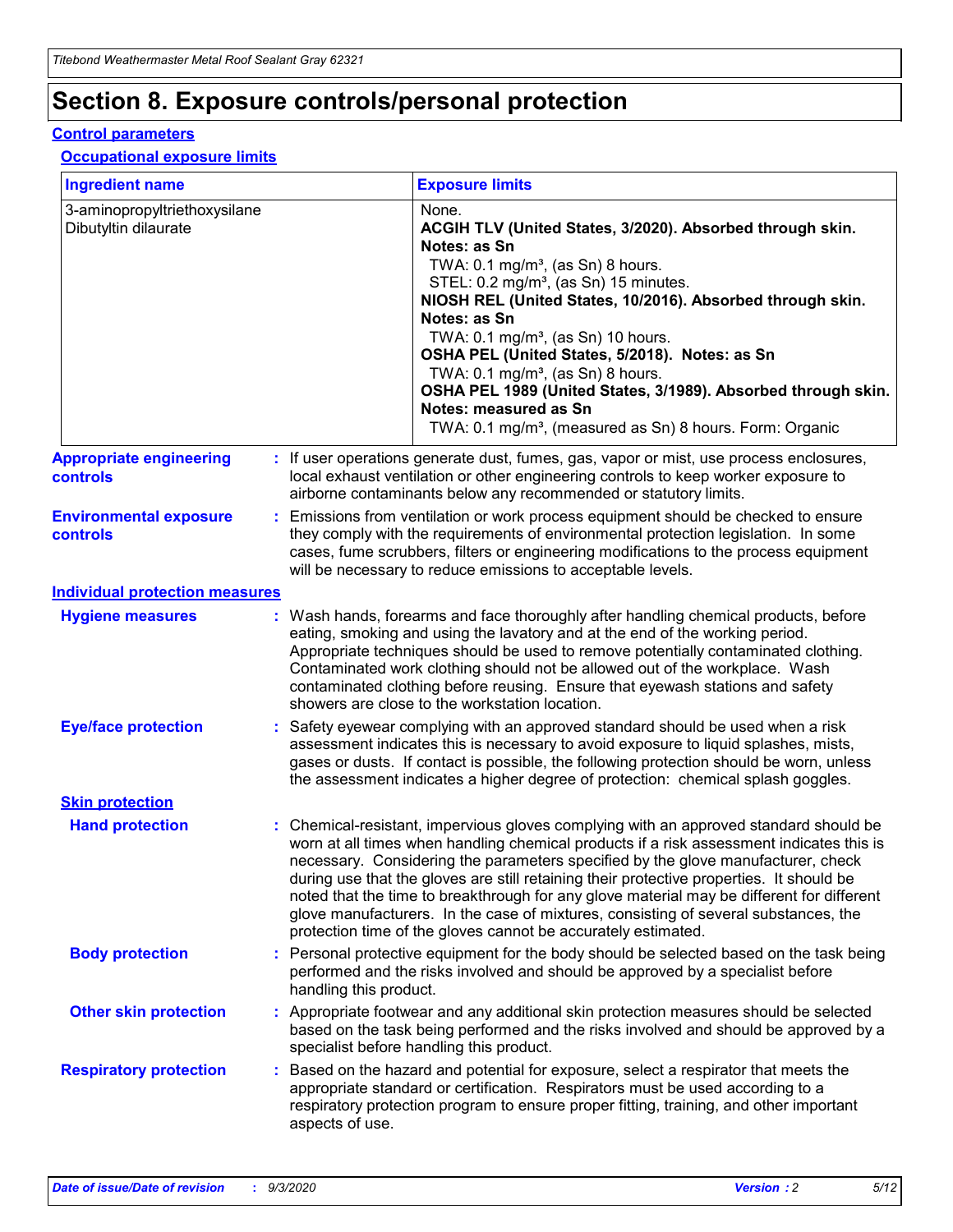# **Section 8. Exposure controls/personal protection**

#### **Control parameters**

#### **Occupational exposure limits**

| <b>Ingredient name</b>                               |    |                        | <b>Exposure limits</b>                                                                                                                                                                                                                                                                                                                                                                                                                                                                                                                                                                                                 |
|------------------------------------------------------|----|------------------------|------------------------------------------------------------------------------------------------------------------------------------------------------------------------------------------------------------------------------------------------------------------------------------------------------------------------------------------------------------------------------------------------------------------------------------------------------------------------------------------------------------------------------------------------------------------------------------------------------------------------|
| 3-aminopropyltriethoxysilane<br>Dibutyltin dilaurate |    |                        | None.<br>ACGIH TLV (United States, 3/2020). Absorbed through skin.<br>Notes: as Sn<br>TWA: $0.1 \text{ mg/m}^3$ , (as Sn) 8 hours.<br>STEL: 0.2 mg/m <sup>3</sup> , (as Sn) 15 minutes.<br>NIOSH REL (United States, 10/2016). Absorbed through skin.<br>Notes: as Sn<br>TWA: 0.1 mg/m <sup>3</sup> , (as Sn) 10 hours.<br>OSHA PEL (United States, 5/2018). Notes: as Sn<br>TWA: 0.1 mg/m <sup>3</sup> , (as Sn) 8 hours.<br>OSHA PEL 1989 (United States, 3/1989). Absorbed through skin.<br>Notes: measured as Sn<br>TWA: 0.1 mg/m <sup>3</sup> , (measured as Sn) 8 hours. Form: Organic                           |
| <b>Appropriate engineering</b><br>controls           |    |                        | : If user operations generate dust, fumes, gas, vapor or mist, use process enclosures,<br>local exhaust ventilation or other engineering controls to keep worker exposure to<br>airborne contaminants below any recommended or statutory limits.                                                                                                                                                                                                                                                                                                                                                                       |
| <b>Environmental exposure</b><br>controls            |    |                        | Emissions from ventilation or work process equipment should be checked to ensure<br>they comply with the requirements of environmental protection legislation. In some<br>cases, fume scrubbers, filters or engineering modifications to the process equipment<br>will be necessary to reduce emissions to acceptable levels.                                                                                                                                                                                                                                                                                          |
| <b>Individual protection measures</b>                |    |                        |                                                                                                                                                                                                                                                                                                                                                                                                                                                                                                                                                                                                                        |
| <b>Hygiene measures</b>                              |    |                        | : Wash hands, forearms and face thoroughly after handling chemical products, before<br>eating, smoking and using the lavatory and at the end of the working period.<br>Appropriate techniques should be used to remove potentially contaminated clothing.<br>Contaminated work clothing should not be allowed out of the workplace. Wash<br>contaminated clothing before reusing. Ensure that eyewash stations and safety<br>showers are close to the workstation location.                                                                                                                                            |
| <b>Eye/face protection</b>                           |    |                        | Safety eyewear complying with an approved standard should be used when a risk<br>assessment indicates this is necessary to avoid exposure to liquid splashes, mists,<br>gases or dusts. If contact is possible, the following protection should be worn, unless<br>the assessment indicates a higher degree of protection: chemical splash goggles.                                                                                                                                                                                                                                                                    |
| <b>Skin protection</b>                               |    |                        |                                                                                                                                                                                                                                                                                                                                                                                                                                                                                                                                                                                                                        |
| <b>Hand protection</b>                               |    |                        | : Chemical-resistant, impervious gloves complying with an approved standard should be<br>worn at all times when handling chemical products if a risk assessment indicates this is<br>necessary. Considering the parameters specified by the glove manufacturer, check<br>during use that the gloves are still retaining their protective properties. It should be<br>noted that the time to breakthrough for any glove material may be different for different<br>glove manufacturers. In the case of mixtures, consisting of several substances, the<br>protection time of the gloves cannot be accurately estimated. |
| <b>Body protection</b>                               |    | handling this product. | Personal protective equipment for the body should be selected based on the task being<br>performed and the risks involved and should be approved by a specialist before                                                                                                                                                                                                                                                                                                                                                                                                                                                |
| <b>Other skin protection</b>                         |    |                        | : Appropriate footwear and any additional skin protection measures should be selected<br>based on the task being performed and the risks involved and should be approved by a<br>specialist before handling this product.                                                                                                                                                                                                                                                                                                                                                                                              |
| <b>Respiratory protection</b>                        | ÷. | aspects of use.        | Based on the hazard and potential for exposure, select a respirator that meets the<br>appropriate standard or certification. Respirators must be used according to a<br>respiratory protection program to ensure proper fitting, training, and other important                                                                                                                                                                                                                                                                                                                                                         |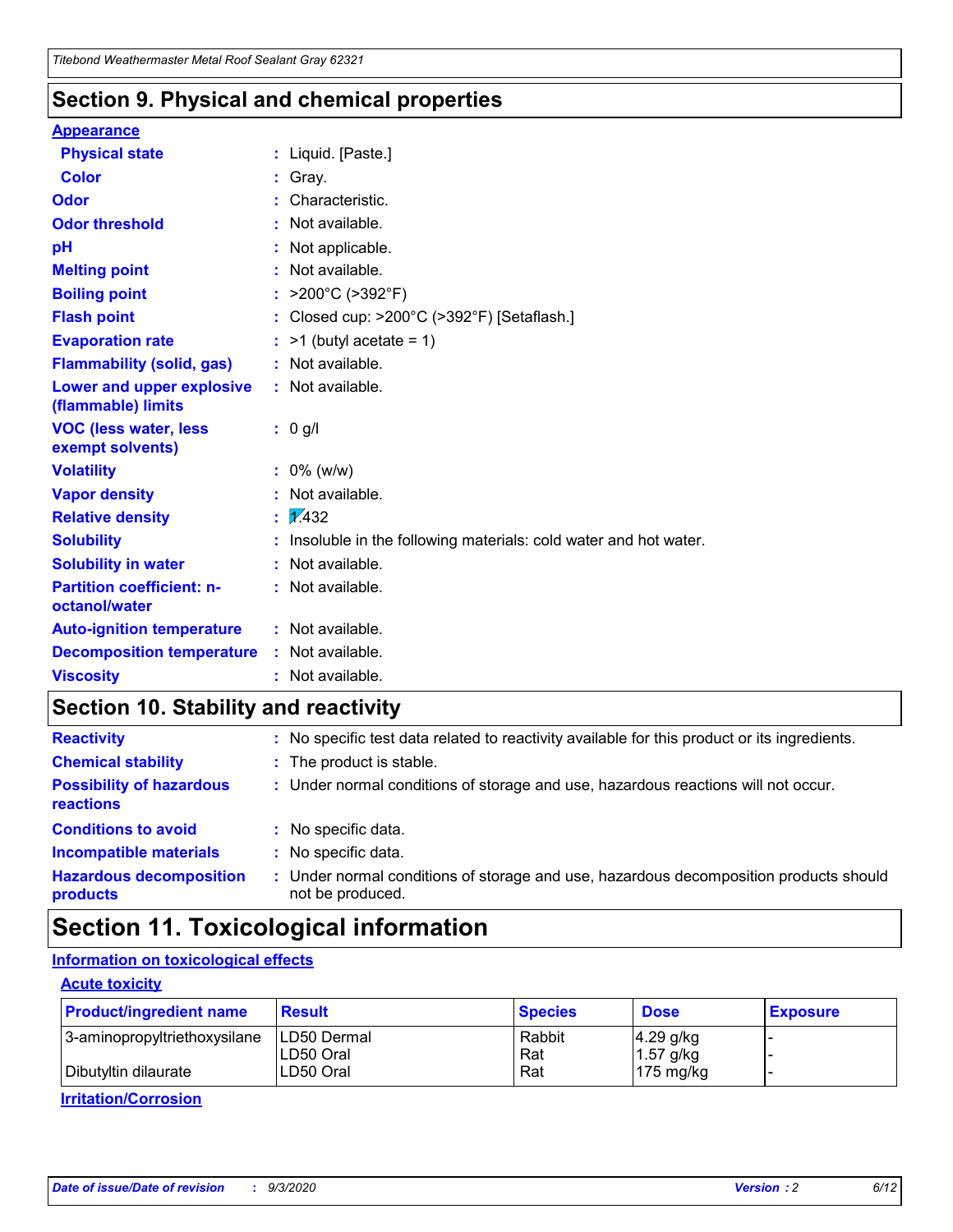### **Section 9. Physical and chemical properties**

#### **Appearance**

| <b>Physical state</b>                             |    | : Liquid. [Paste.]                                              |
|---------------------------------------------------|----|-----------------------------------------------------------------|
| <b>Color</b>                                      |    | Gray.                                                           |
| Odor                                              |    | Characteristic.                                                 |
| <b>Odor threshold</b>                             |    | Not available.                                                  |
| рH                                                |    | Not applicable.                                                 |
| <b>Melting point</b>                              |    | Not available.                                                  |
| <b>Boiling point</b>                              |    | : $>200^{\circ}$ C ( $>392^{\circ}$ F)                          |
| <b>Flash point</b>                                |    | Closed cup: >200°C (>392°F) [Setaflash.]                        |
| <b>Evaporation rate</b>                           |    | $:$ >1 (butyl acetate = 1)                                      |
| <b>Flammability (solid, gas)</b>                  |    | : Not available.                                                |
| Lower and upper explosive<br>(flammable) limits   |    | : Not available.                                                |
| <b>VOC (less water, less</b><br>exempt solvents)  |    | : 0 g/l                                                         |
| <b>Volatility</b>                                 |    | $: 0\%$ (w/w)                                                   |
| <b>Vapor density</b>                              |    | Not available.                                                  |
| <b>Relative density</b>                           | t. | $\sqrt{1/432}$                                                  |
| <b>Solubility</b>                                 |    | Insoluble in the following materials: cold water and hot water. |
| <b>Solubility in water</b>                        |    | Not available.                                                  |
| <b>Partition coefficient: n-</b><br>octanol/water |    | : Not available.                                                |
| <b>Auto-ignition temperature</b>                  |    | : Not available.                                                |
| <b>Decomposition temperature</b>                  |    | : Not available.                                                |
| <b>Viscosity</b>                                  |    | $:$ Not available.                                              |

### **Section 10. Stability and reactivity**

| <b>Reactivity</b>                            |    | : No specific test data related to reactivity available for this product or its ingredients.            |
|----------------------------------------------|----|---------------------------------------------------------------------------------------------------------|
| <b>Chemical stability</b>                    |    | : The product is stable.                                                                                |
| <b>Possibility of hazardous</b><br>reactions |    | : Under normal conditions of storage and use, hazardous reactions will not occur.                       |
| <b>Conditions to avoid</b>                   |    | : No specific data.                                                                                     |
| <b>Incompatible materials</b>                | ٠. | No specific data.                                                                                       |
| <b>Hazardous decomposition</b><br>products   | ÷. | Under normal conditions of storage and use, hazardous decomposition products should<br>not be produced. |

# **Section 11. Toxicological information**

### **Information on toxicological effects**

#### **Acute toxicity**

| <b>Product/ingredient name</b> | <b>Result</b>           | <b>Species</b> | <b>Dose</b>                | <b>Exposure</b> |
|--------------------------------|-------------------------|----------------|----------------------------|-----------------|
| 3-aminopropyltriethoxysilane   | <b>ILD50 Dermal</b>     | Rabbit         | 4.29 g/kg                  |                 |
| Dibutyltin dilaurate           | ILD50 Oral<br>LD50 Oral | Rat<br>Rat     | $1.57$ g/kg<br>175 $mg/kg$ |                 |
|                                |                         |                |                            |                 |

**Irritation/Corrosion**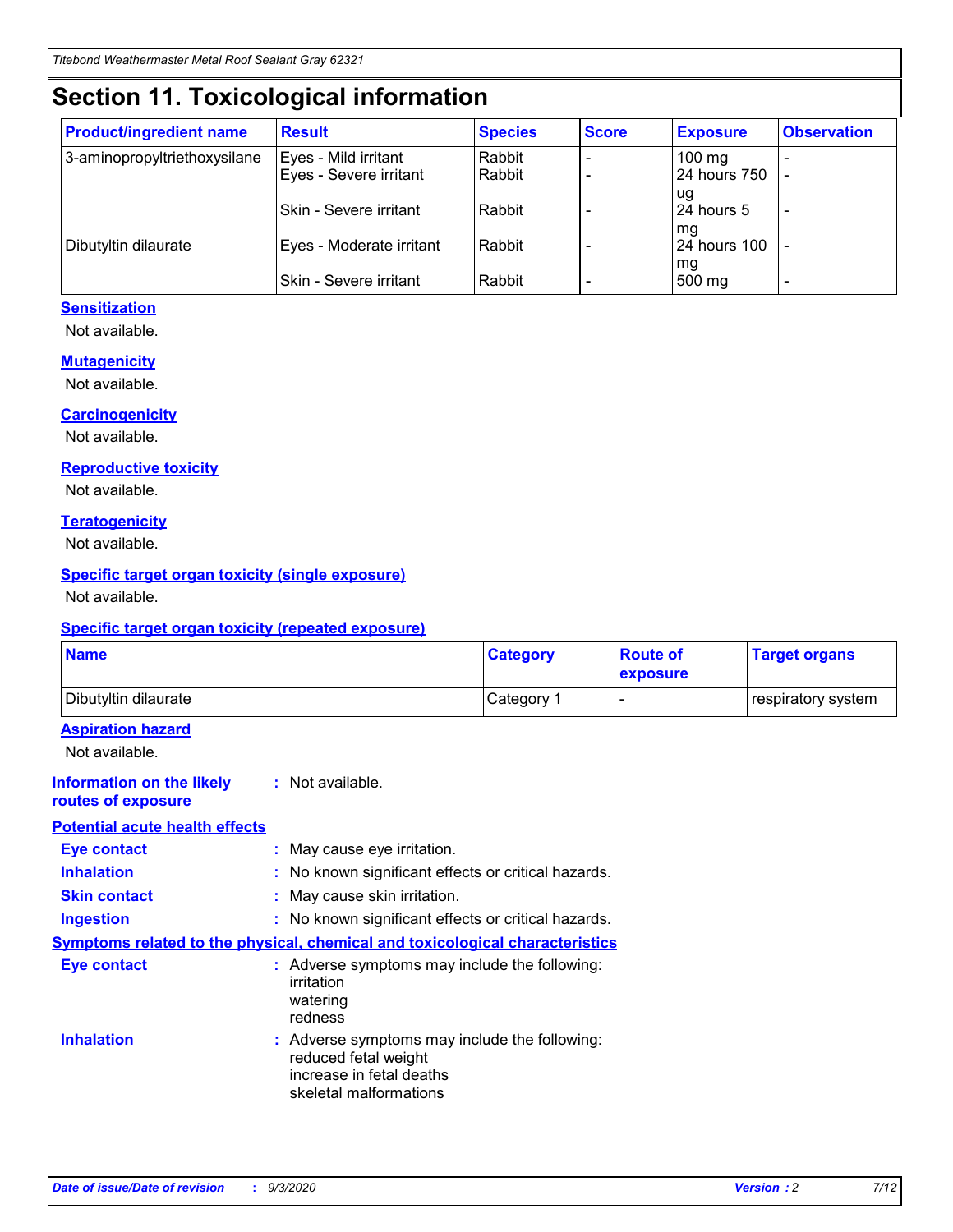# **Section 11. Toxicological information**

| <b>Product/ingredient name</b> | <b>Result</b>            | <b>Species</b> | <b>Score</b> | <b>Exposure</b>    | <b>Observation</b> |
|--------------------------------|--------------------------|----------------|--------------|--------------------|--------------------|
| 3-aminopropyltriethoxysilane   | Eyes - Mild irritant     | Rabbit         |              | $100$ mg           |                    |
|                                | Eyes - Severe irritant   | Rabbit         |              | 24 hours 750       |                    |
|                                |                          |                |              | ug                 |                    |
|                                | Skin - Severe irritant   | Rabbit         |              | 24 hours 5         | -                  |
| Dibutyltin dilaurate           | Eyes - Moderate irritant | Rabbit         |              | mg<br>24 hours 100 |                    |
|                                |                          |                |              | mg                 |                    |
|                                | Skin - Severe irritant   | Rabbit         |              | 500 mg             | -                  |

#### **Sensitization**

Not available.

#### **Mutagenicity**

Not available.

#### **Carcinogenicity**

Not available.

#### **Reproductive toxicity**

Not available.

#### **Teratogenicity**

Not available.

#### **Specific target organ toxicity (single exposure)**

Not available.

#### **Specific target organ toxicity (repeated exposure)**

| <b>Name</b>                                                                         |                                                                            | <b>Category</b>                                     | <b>Route of</b><br>exposure | <b>Target organs</b> |  |  |
|-------------------------------------------------------------------------------------|----------------------------------------------------------------------------|-----------------------------------------------------|-----------------------------|----------------------|--|--|
| Dibutyltin dilaurate                                                                |                                                                            | Category 1                                          |                             | respiratory system   |  |  |
| <b>Aspiration hazard</b><br>Not available.                                          |                                                                            |                                                     |                             |                      |  |  |
| <b>Information on the likely</b><br>routes of exposure                              | : Not available.                                                           |                                                     |                             |                      |  |  |
| <b>Potential acute health effects</b>                                               |                                                                            |                                                     |                             |                      |  |  |
| <b>Eye contact</b>                                                                  | : May cause eye irritation.                                                |                                                     |                             |                      |  |  |
| <b>Inhalation</b>                                                                   |                                                                            | : No known significant effects or critical hazards. |                             |                      |  |  |
| <b>Skin contact</b>                                                                 |                                                                            | : May cause skin irritation.                        |                             |                      |  |  |
| <b>Ingestion</b>                                                                    |                                                                            | : No known significant effects or critical hazards. |                             |                      |  |  |
| <b>Symptoms related to the physical, chemical and toxicological characteristics</b> |                                                                            |                                                     |                             |                      |  |  |
| <b>Eye contact</b>                                                                  | irritation<br>watering<br>redness                                          | : Adverse symptoms may include the following:       |                             |                      |  |  |
| <b>Inhalation</b>                                                                   | reduced fetal weight<br>increase in fetal deaths<br>skeletal malformations | : Adverse symptoms may include the following:       |                             |                      |  |  |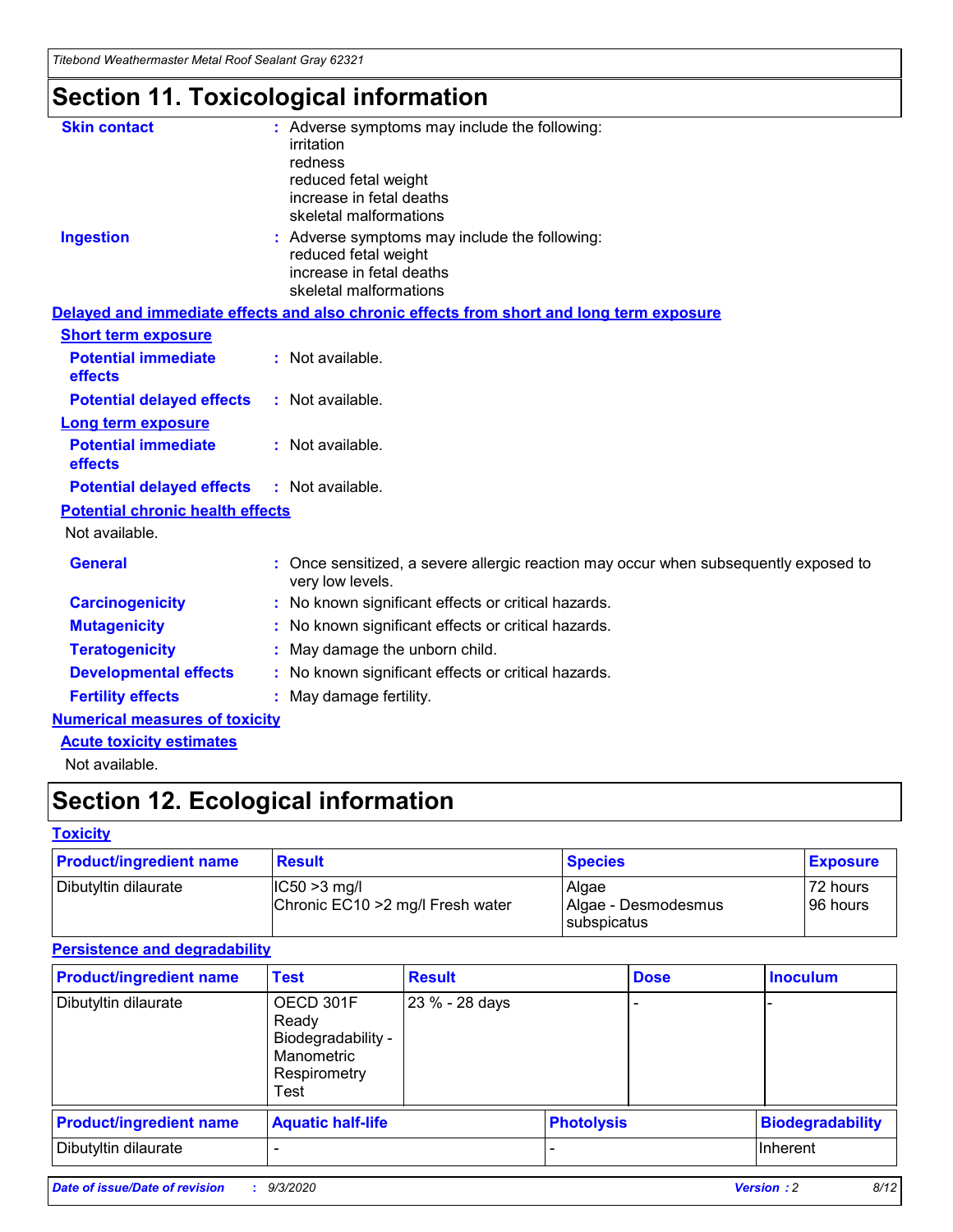*Titebond Weathermaster Metal Roof Sealant Gray 62321*

# **Section 11. Toxicological information**

| <b>Skin contact</b>                     | : Adverse symptoms may include the following:<br>irritation                                                                 |  |  |  |
|-----------------------------------------|-----------------------------------------------------------------------------------------------------------------------------|--|--|--|
|                                         | redness                                                                                                                     |  |  |  |
|                                         | reduced fetal weight<br>increase in fetal deaths                                                                            |  |  |  |
|                                         | skeletal malformations                                                                                                      |  |  |  |
| <b>Ingestion</b>                        | : Adverse symptoms may include the following:<br>reduced fetal weight<br>increase in fetal deaths<br>skeletal malformations |  |  |  |
|                                         | Delayed and immediate effects and also chronic effects from short and long term exposure                                    |  |  |  |
| <b>Short term exposure</b>              |                                                                                                                             |  |  |  |
| <b>Potential immediate</b><br>effects   | : Not available.                                                                                                            |  |  |  |
| <b>Potential delayed effects</b>        | : Not available.                                                                                                            |  |  |  |
| <b>Long term exposure</b>               |                                                                                                                             |  |  |  |
| <b>Potential immediate</b><br>effects   | : Not available.                                                                                                            |  |  |  |
| <b>Potential delayed effects</b>        | : Not available.                                                                                                            |  |  |  |
| <b>Potential chronic health effects</b> |                                                                                                                             |  |  |  |
| Not available.                          |                                                                                                                             |  |  |  |
| <b>General</b>                          | Once sensitized, a severe allergic reaction may occur when subsequently exposed to<br>very low levels.                      |  |  |  |
| <b>Carcinogenicity</b>                  | : No known significant effects or critical hazards.                                                                         |  |  |  |
| <b>Mutagenicity</b>                     | : No known significant effects or critical hazards.                                                                         |  |  |  |
| <b>Teratogenicity</b>                   | May damage the unborn child.                                                                                                |  |  |  |
| <b>Developmental effects</b>            | : No known significant effects or critical hazards.                                                                         |  |  |  |
| <b>Fertility effects</b>                | May damage fertility.                                                                                                       |  |  |  |
| <b>Numerical measures of toxicity</b>   |                                                                                                                             |  |  |  |
| <b>Acute toxicity estimates</b>         |                                                                                                                             |  |  |  |
| الملحلة والمستحيط والمسالم              |                                                                                                                             |  |  |  |

Not available.

# **Section 12. Ecological information**

#### **Toxicity**

| <b>Product/ingredient name</b> | <b>Result</b>                                       | <b>Species</b>               | <b>Exposure</b>       |
|--------------------------------|-----------------------------------------------------|------------------------------|-----------------------|
| Dibutyltin dilaurate           | $ CC50>3$ mg/l<br>Chronic EC10 > 2 mg/l Fresh water | Algae<br>Algae - Desmodesmus | 72 hours<br>196 hours |
|                                |                                                     | <b>I</b> subspicatus         |                       |

#### **Persistence and degradability**

| <b>Product/ingredient name</b> | <b>Test</b>                                                                    | <b>Result</b>  |                   | <b>Dose</b> | <b>Inoculum</b>         |
|--------------------------------|--------------------------------------------------------------------------------|----------------|-------------------|-------------|-------------------------|
| Dibutyltin dilaurate           | OECD 301F<br>Ready<br>Biodegradability -<br>Manometric<br>Respirometry<br>Test | 23 % - 28 days |                   |             |                         |
| <b>Product/ingredient name</b> | <b>Aquatic half-life</b>                                                       |                | <b>Photolysis</b> |             | <b>Biodegradability</b> |
| Dibutyltin dilaurate           |                                                                                |                |                   |             | <b>Inherent</b>         |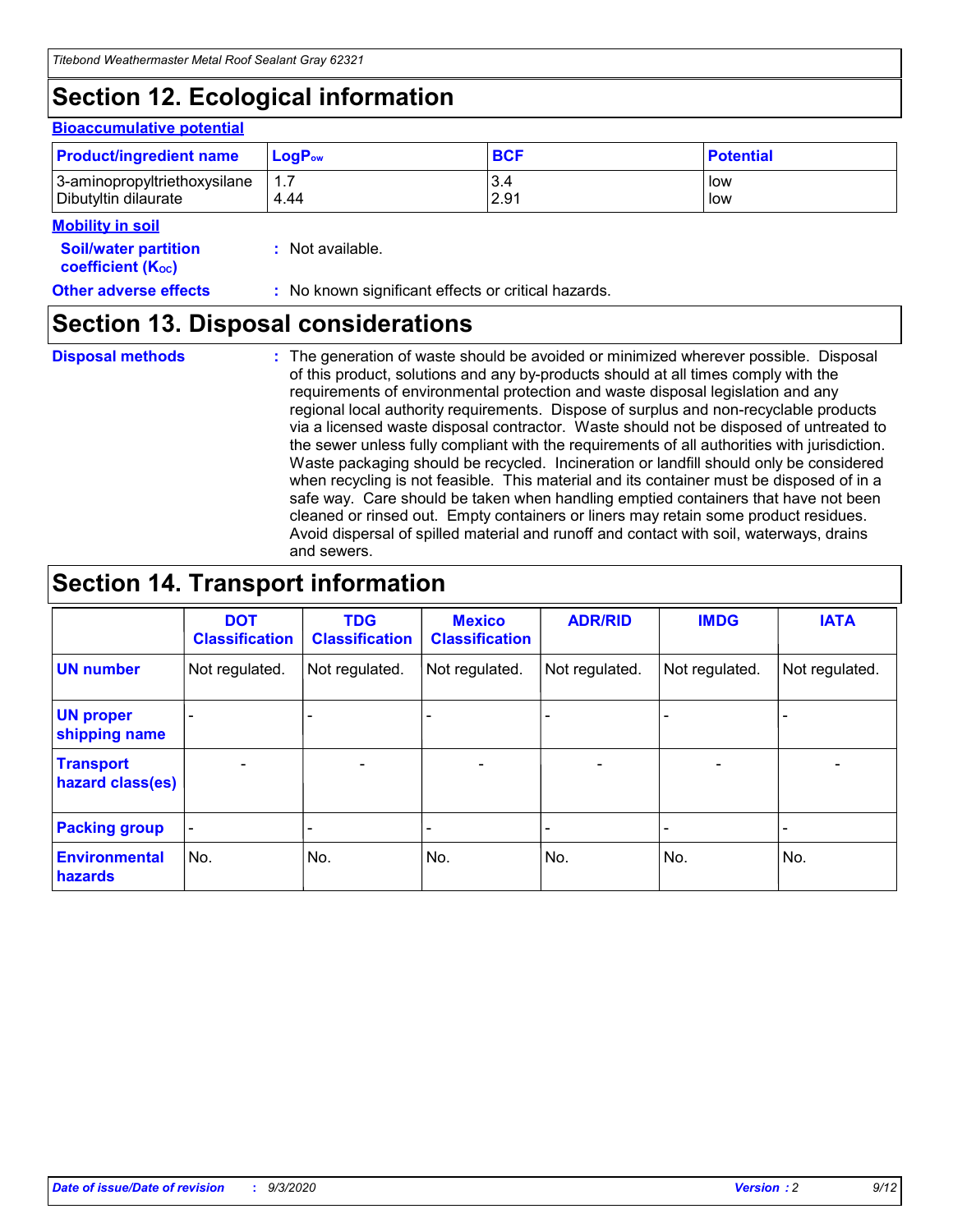# **Section 12. Ecological information**

#### **Bioaccumulative potential**

| <b>Product/ingredient name</b> | $\mathsf{LogP}_\mathsf{ow}$ | <b>BCF</b> | <b>Potential</b> |
|--------------------------------|-----------------------------|------------|------------------|
| 3-aminopropyltriethoxysilane   | 1.7                         | 3.4        | low              |
| Dibutyltin dilaurate           | 4.44                        | 2.91       | low              |

#### **Mobility in soil**

| IVIUWIIILY III JUII                                           |                                                     |
|---------------------------------------------------------------|-----------------------------------------------------|
| <b>Soil/water partition</b><br>coefficient (K <sub>oc</sub> ) | : Not available.                                    |
| <b>Other adverse effects</b>                                  | : No known significant effects or critical hazards. |

### **Section 13. Disposal considerations**

**Disposal methods :**

The generation of waste should be avoided or minimized wherever possible. Disposal of this product, solutions and any by-products should at all times comply with the requirements of environmental protection and waste disposal legislation and any regional local authority requirements. Dispose of surplus and non-recyclable products via a licensed waste disposal contractor. Waste should not be disposed of untreated to the sewer unless fully compliant with the requirements of all authorities with jurisdiction. Waste packaging should be recycled. Incineration or landfill should only be considered when recycling is not feasible. This material and its container must be disposed of in a safe way. Care should be taken when handling emptied containers that have not been cleaned or rinsed out. Empty containers or liners may retain some product residues. Avoid dispersal of spilled material and runoff and contact with soil, waterways, drains and sewers.

### **Section 14. Transport information**

|                                      | <b>DOT</b><br><b>Classification</b> | <b>TDG</b><br><b>Classification</b> | <b>Mexico</b><br><b>Classification</b> | <b>ADR/RID</b>           | <b>IMDG</b>              | <b>IATA</b>    |
|--------------------------------------|-------------------------------------|-------------------------------------|----------------------------------------|--------------------------|--------------------------|----------------|
| <b>UN number</b>                     | Not regulated.                      | Not regulated.                      | Not regulated.                         | Not regulated.           | Not regulated.           | Not regulated. |
| <b>UN proper</b><br>shipping name    |                                     |                                     |                                        |                          |                          |                |
| <b>Transport</b><br>hazard class(es) | $\blacksquare$                      | $\overline{\phantom{0}}$            | $\overline{\phantom{a}}$               | $\overline{\phantom{0}}$ | $\overline{\phantom{a}}$ | $\blacksquare$ |
| <b>Packing group</b>                 |                                     |                                     |                                        |                          |                          | -              |
| <b>Environmental</b><br>hazards      | No.                                 | No.                                 | No.                                    | No.                      | No.                      | No.            |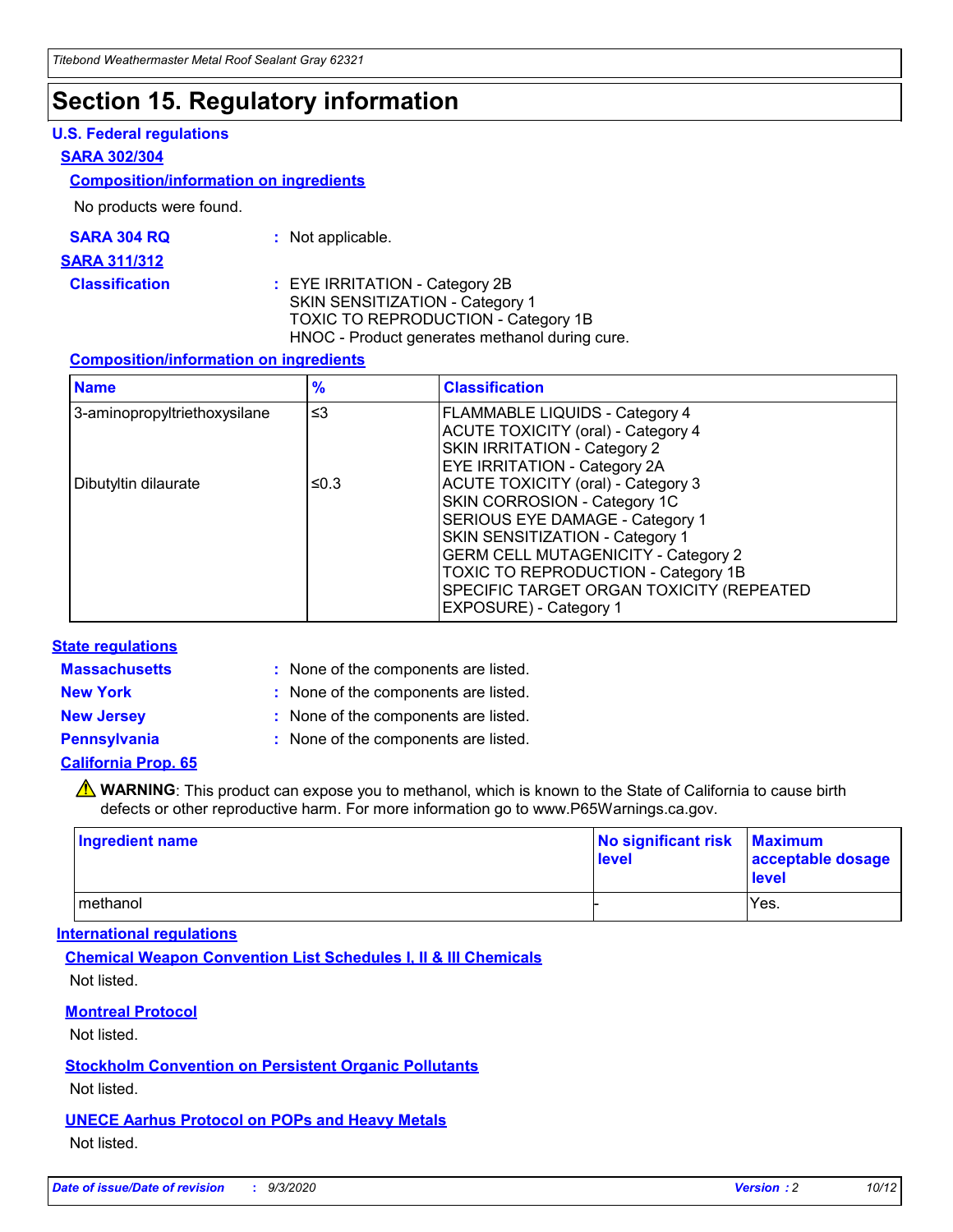### **Section 15. Regulatory information**

#### **U.S. Federal regulations**

#### **SARA 302/304**

#### **Composition/information on ingredients**

No products were found.

| SARA 304 RQ | Not applicable. |
|-------------|-----------------|
|-------------|-----------------|

#### **SARA 311/312**

#### **Classification :** EYE IRRITATION - Category 2B SKIN SENSITIZATION - Category 1 TOXIC TO REPRODUCTION - Category 1B HNOC - Product generates methanol during cure.

#### **Composition/information on ingredients**

| <b>Name</b>                  | $\frac{9}{6}$ | <b>Classification</b>                                                                                                                                                                                                                                                                                      |
|------------------------------|---------------|------------------------------------------------------------------------------------------------------------------------------------------------------------------------------------------------------------------------------------------------------------------------------------------------------------|
| 3-aminopropyltriethoxysilane | $\leq$ 3      | <b>FLAMMABLE LIQUIDS - Category 4</b><br><b>ACUTE TOXICITY (oral) - Category 4</b><br><b>SKIN IRRITATION - Category 2</b><br>EYE IRRITATION - Category 2A                                                                                                                                                  |
| Dibutyltin dilaurate         | ≤0.3          | <b>ACUTE TOXICITY (oral) - Category 3</b><br>SKIN CORROSION - Category 1C<br>SERIOUS EYE DAMAGE - Category 1<br>SKIN SENSITIZATION - Category 1<br><b>GERM CELL MUTAGENICITY - Category 2</b><br>TOXIC TO REPRODUCTION - Category 1B<br>SPECIFIC TARGET ORGAN TOXICITY (REPEATED<br>EXPOSURE) - Category 1 |

#### **State regulations**

**Massachusetts :**

: None of the components are listed.

**New York :** None of the components are listed. **New Jersey :** None of the components are listed.

**Pennsylvania :** None of the components are listed.

#### **California Prop. 65**

WARNING: This product can expose you to methanol, which is known to the State of California to cause birth defects or other reproductive harm. For more information go to www.P65Warnings.ca.gov.

| Ingredient name | No significant risk Maximum<br>level | acceptable dosage<br><b>level</b> |
|-----------------|--------------------------------------|-----------------------------------|
| I methanol      |                                      | Yes.                              |

#### **International regulations**

**Chemical Weapon Convention List Schedules I, II & III Chemicals** Not listed.

#### **Montreal Protocol**

Not listed.

**Stockholm Convention on Persistent Organic Pollutants**

Not listed.

#### **UNECE Aarhus Protocol on POPs and Heavy Metals** Not listed.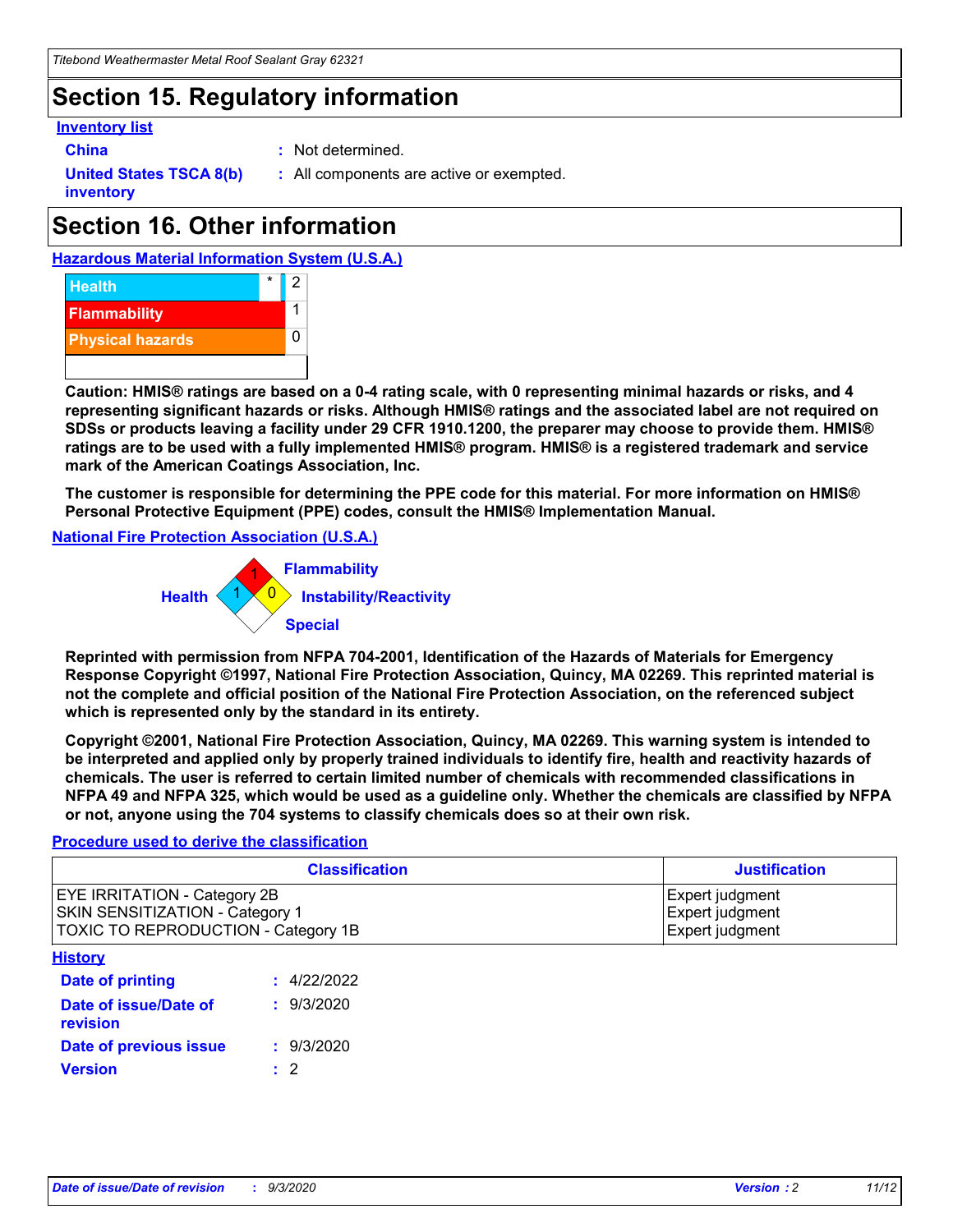# **Section 15. Regulatory information**

#### **Inventory list**

- 
- **China :** Not determined.

**United States TSCA 8(b) inventory**

**:** All components are active or exempted.

# **Section 16. Other information**





**Caution: HMIS® ratings are based on a 0-4 rating scale, with 0 representing minimal hazards or risks, and 4 representing significant hazards or risks. Although HMIS® ratings and the associated label are not required on SDSs or products leaving a facility under 29 CFR 1910.1200, the preparer may choose to provide them. HMIS® ratings are to be used with a fully implemented HMIS® program. HMIS® is a registered trademark and service mark of the American Coatings Association, Inc.**

**The customer is responsible for determining the PPE code for this material. For more information on HMIS® Personal Protective Equipment (PPE) codes, consult the HMIS® Implementation Manual.**

**National Fire Protection Association (U.S.A.)**



**Reprinted with permission from NFPA 704-2001, Identification of the Hazards of Materials for Emergency Response Copyright ©1997, National Fire Protection Association, Quincy, MA 02269. This reprinted material is not the complete and official position of the National Fire Protection Association, on the referenced subject which is represented only by the standard in its entirety.**

**Copyright ©2001, National Fire Protection Association, Quincy, MA 02269. This warning system is intended to be interpreted and applied only by properly trained individuals to identify fire, health and reactivity hazards of chemicals. The user is referred to certain limited number of chemicals with recommended classifications in NFPA 49 and NFPA 325, which would be used as a guideline only. Whether the chemicals are classified by NFPA or not, anyone using the 704 systems to classify chemicals does so at their own risk.**

#### **Procedure used to derive the classification**

| <b>Classification</b>                                                                                         | <b>Justification</b>                                  |
|---------------------------------------------------------------------------------------------------------------|-------------------------------------------------------|
| <b>EYE IRRITATION - Category 2B</b><br>SKIN SENSITIZATION - Category 1<br>TOXIC TO REPRODUCTION - Category 1B | Expert judgment<br>Expert judgment<br>Expert judgment |
| <b>History</b>                                                                                                |                                                       |

| .                                 |             |
|-----------------------------------|-------------|
| <b>Date of printing</b>           | : 4/22/2022 |
| Date of issue/Date of<br>revision | : 9/3/2020  |
| Date of previous issue            | : 9/3/2020  |
| <b>Version</b>                    | $\cdot$ 2   |
|                                   |             |